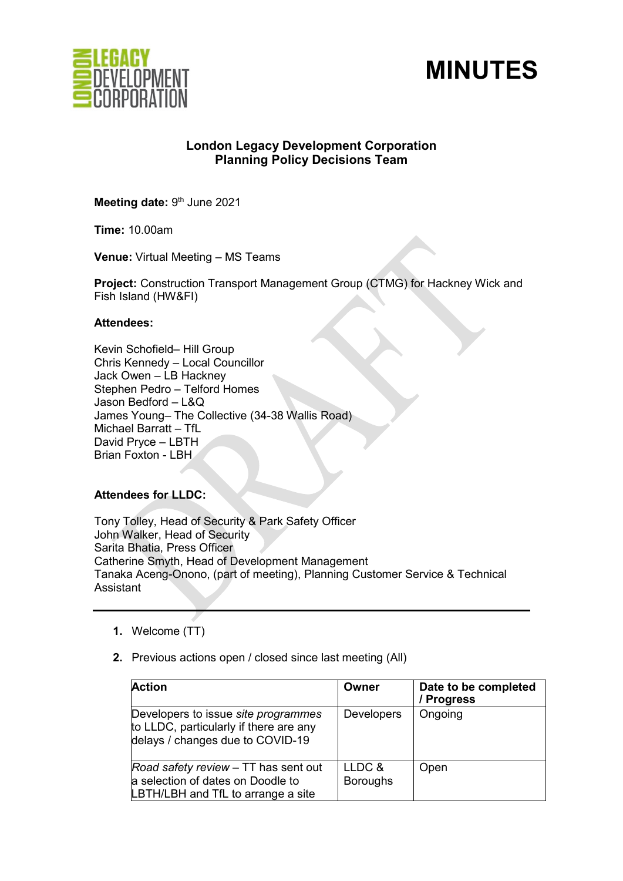



# **London Legacy Development Corporation Planning Policy Decisions Team**

**Meeting date: 9th June 2021** 

**Time:** 10.00am

**Venue:** Virtual Meeting – MS Teams

**Project:** Construction Transport Management Group (CTMG) for Hackney Wick and Fish Island (HW&FI)

### **Attendees:**

Kevin Schofield– Hill Group Chris Kennedy – Local Councillor Jack Owen – LB Hackney Stephen Pedro – Telford Homes Jason Bedford – L&Q James Young– The Collective (34-38 Wallis Road) Michael Barratt – TfL David Pryce – LBTH Brian Foxton - LBH

# **Attendees for LLDC:**

Tony Tolley, Head of Security & Park Safety Officer John Walker, Head of Security Sarita Bhatia, Press Officer Catherine Smyth, Head of Development Management Tanaka Aceng-Onono, (part of meeting), Planning Customer Service & Technical Assistant

- **1.** Welcome (TT)
- **2.** Previous actions open / closed since last meeting (All)

| <b>Action</b>                                                                                                     | Owner                     | Date to be completed<br>/ Progress |
|-------------------------------------------------------------------------------------------------------------------|---------------------------|------------------------------------|
| Developers to issue site programmes<br>to LLDC, particularly if there are any<br>delays / changes due to COVID-19 | <b>Developers</b>         | Ongoing                            |
| Road safety review - TT has sent out<br>a selection of dates on Doodle to<br>LBTH/LBH and TfL to arrange a site   | LLDC &<br><b>Boroughs</b> | Open                               |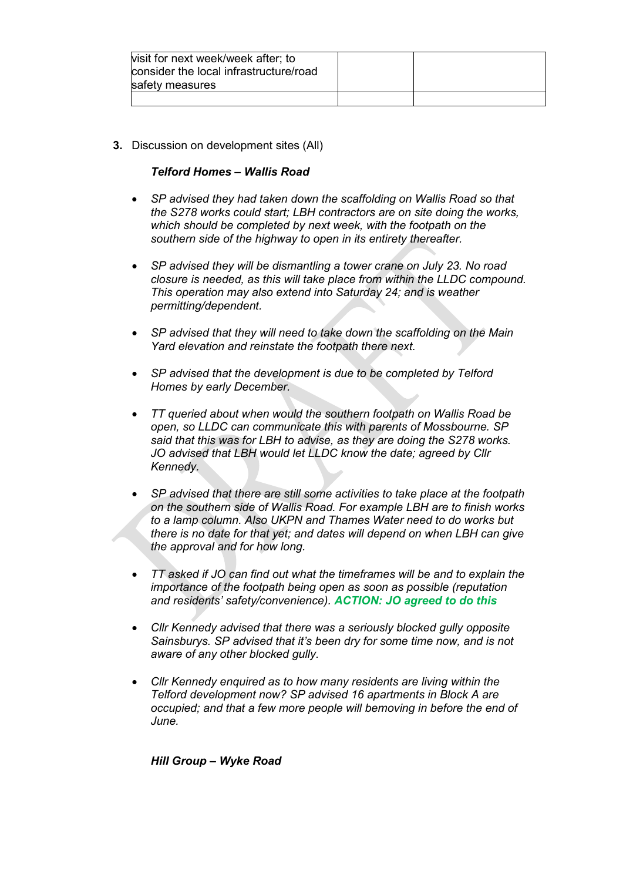| visit for next week/week after; to<br>consider the local infrastructure/road |  |
|------------------------------------------------------------------------------|--|
| safety measures                                                              |  |
|                                                                              |  |

**3.** Discussion on development sites (All)

### *Telford Homes – Wallis Road*

- *SP advised they had taken down the scaffolding on Wallis Road so that the S278 works could start; LBH contractors are on site doing the works, which should be completed by next week, with the footpath on the southern side of the highway to open in its entirety thereafter.*
- *SP advised they will be dismantling a tower crane on July 23. No road closure is needed, as this will take place from within the LLDC compound. This operation may also extend into Saturday 24; and is weather permitting/dependent.*
- *SP advised that they will need to take down the scaffolding on the Main Yard elevation and reinstate the footpath there next.*
- *SP advised that the development is due to be completed by Telford Homes by early December.*
- *TT queried about when would the southern footpath on Wallis Road be open, so LLDC can communicate this with parents of Mossbourne. SP said that this was for LBH to advise, as they are doing the S278 works. JO advised that LBH would let LLDC know the date; agreed by Cllr Kennedy.*
- *SP advised that there are still some activities to take place at the footpath on the southern side of Wallis Road. For example LBH are to finish works to a lamp column. Also UKPN and Thames Water need to do works but there is no date for that yet; and dates will depend on when LBH can give the approval and for how long.*
- *TT asked if JO can find out what the timeframes will be and to explain the importance of the footpath being open as soon as possible (reputation and residents' safety/convenience). ACTION: JO agreed to do this*
- *Cllr Kennedy advised that there was a seriously blocked gully opposite Sainsburys. SP advised that it's been dry for some time now, and is not aware of any other blocked gully.*
- *Cllr Kennedy enquired as to how many residents are living within the Telford development now? SP advised 16 apartments in Block A are occupied; and that a few more people will bemoving in before the end of June.*

*Hill Group – Wyke Road*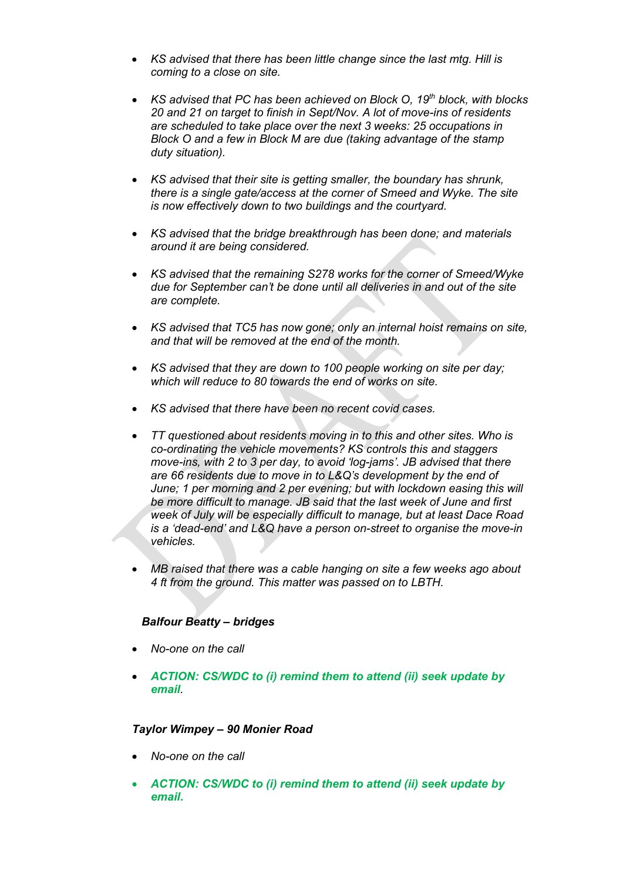- *KS advised that there has been little change since the last mtg. Hill is coming to a close on site.*
- *KS advised that PC has been achieved on Block O, 19th block, with blocks 20 and 21 on target to finish in Sept/Nov. A lot of move-ins of residents are scheduled to take place over the next 3 weeks: 25 occupations in Block O and a few in Block M are due (taking advantage of the stamp duty situation).*
- *KS advised that their site is getting smaller, the boundary has shrunk, there is a single gate/access at the corner of Smeed and Wyke. The site is now effectively down to two buildings and the courtyard.*
- *KS advised that the bridge breakthrough has been done; and materials around it are being considered.*
- *KS advised that the remaining S278 works for the corner of Smeed/Wyke due for September can't be done until all deliveries in and out of the site are complete.*
- *KS advised that TC5 has now gone; only an internal hoist remains on site, and that will be removed at the end of the month.*
- *KS advised that they are down to 100 people working on site per day; which will reduce to 80 towards the end of works on site.*
- *KS advised that there have been no recent covid cases.*
- *TT questioned about residents moving in to this and other sites. Who is co-ordinating the vehicle movements? KS controls this and staggers move-ins, with 2 to 3 per day, to avoid 'log-jams'. JB advised that there are 66 residents due to move in to L&Q's development by the end of June; 1 per morning and 2 per evening; but with lockdown easing this will be more difficult to manage. JB said that the last week of June and first week of July will be especially difficult to manage, but at least Dace Road is a 'dead-end' and L&Q have a person on-street to organise the move-in vehicles.*
- *MB raised that there was a cable hanging on site a few weeks ago about 4 ft from the ground. This matter was passed on to LBTH.*

## *Balfour Beatty – bridges*

- *No-one on the call*
- *ACTION: CS/WDC to (i) remind them to attend (ii) seek update by email.*

#### *Taylor Wimpey – 90 Monier Road*

- *No-one on the call*
- *ACTION: CS/WDC to (i) remind them to attend (ii) seek update by email.*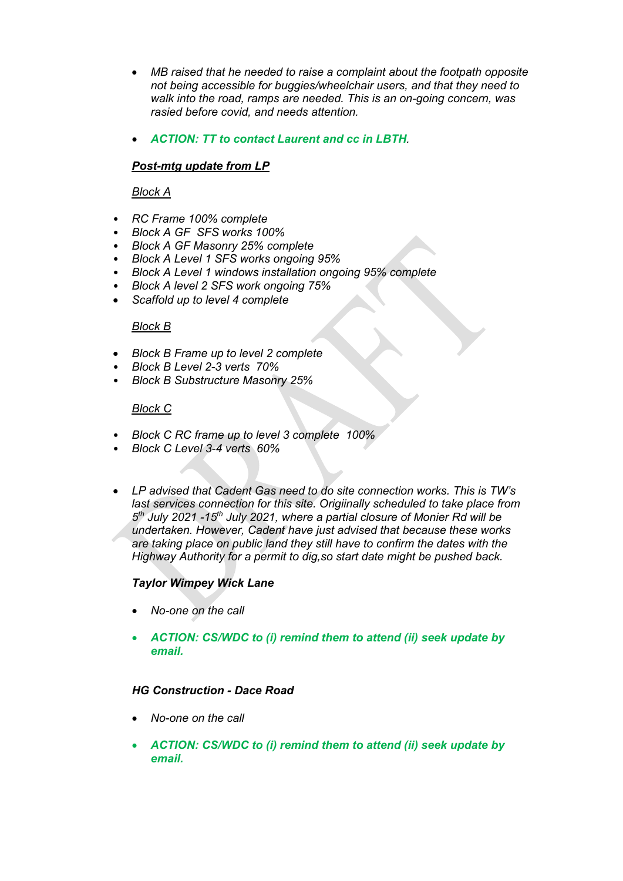- *MB raised that he needed to raise a complaint about the footpath opposite not being accessible for buggies/wheelchair users, and that they need to walk into the road, ramps are needed. This is an on-going concern, was rasied before covid, and needs attention.*
- *ACTION: TT to contact Laurent and cc in LBTH.*

# *Post-mtg update from LP*

## *Block A*

- *RC Frame 100% complete*
- *Block A GF SFS works 100%*
- *Block A GF Masonry 25% complete*
- *Block A Level 1 SFS works ongoing 95%*
- *Block A Level 1 windows installation ongoing 95% complete*
- *Block A level 2 SFS work ongoing 75%*
- *Scaffold up to level 4 complete*

#### *Block B*

- *Block B Frame up to level 2 complete*
- *Block B Level 2-3 verts 70%*
- *Block B Substructure Masonry 25%*

#### *Block C*

- *Block C RC frame up to level 3 complete 100%*
- *Block C Level 3-4 verts 60%*
- *LP advised that Cadent Gas need to do site connection works. This is TW's last services connection for this site. Origiinally scheduled to take place from 5th July 2021 -15th July 2021, where a partial closure of Monier Rd will be undertaken. However, Cadent have just advised that because these works are taking place on public land they still have to confirm the dates with the Highway Authority for a permit to dig,so start date might be pushed back.*

## *Taylor Wimpey Wick Lane*

- *No-one on the call*
- *ACTION: CS/WDC to (i) remind them to attend (ii) seek update by email.*

#### *HG Construction - Dace Road*

- *No-one on the call*
- *ACTION: CS/WDC to (i) remind them to attend (ii) seek update by email.*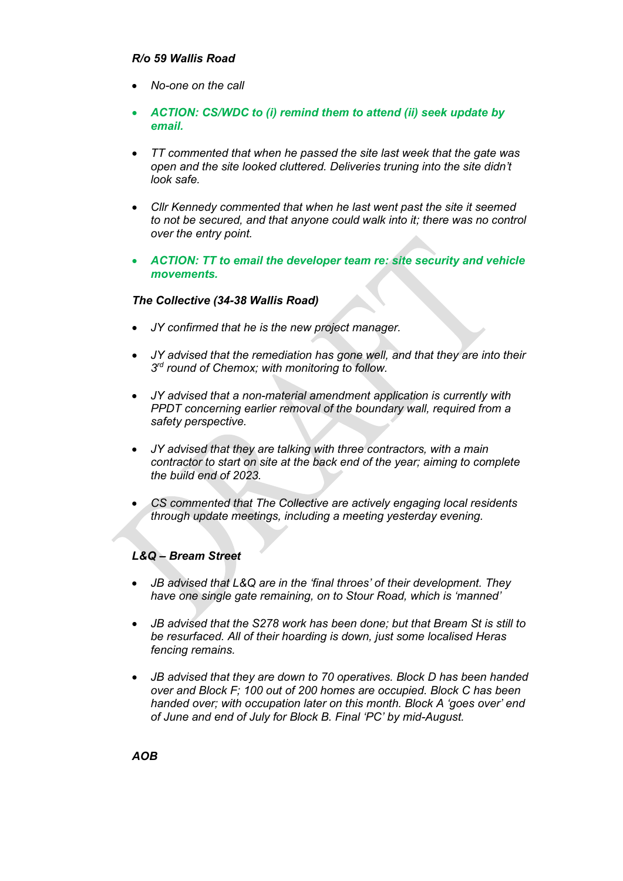## *R/o 59 Wallis Road*

- *No-one on the call*
- *ACTION: CS/WDC to (i) remind them to attend (ii) seek update by email.*
- *TT commented that when he passed the site last week that the gate was open and the site looked cluttered. Deliveries truning into the site didn't look safe.*
- *Cllr Kennedy commented that when he last went past the site it seemed to not be secured, and that anyone could walk into it; there was no control over the entry point.*
- *ACTION: TT to email the developer team re: site security and vehicle movements.*

### *The Collective (34-38 Wallis Road)*

- *JY confirmed that he is the new project manager.*
- *JY advised that the remediation has gone well, and that they are into their 3rd round of Chemox; with monitoring to follow.*
- *JY advised that a non-material amendment application is currently with PPDT concerning earlier removal of the boundary wall, required from a safety perspective.*
- *JY advised that they are talking with three contractors, with a main contractor to start on site at the back end of the year; aiming to complete the build end of 2023.*
- *CS commented that The Collective are actively engaging local residents through update meetings, including a meeting yesterday evening.*

## *L&Q – Bream Street*

- *JB advised that L&Q are in the 'final throes' of their development. They have one single gate remaining, on to Stour Road, which is 'manned'*
- *JB advised that the S278 work has been done; but that Bream St is still to be resurfaced. All of their hoarding is down, just some localised Heras fencing remains.*
- *JB advised that they are down to 70 operatives. Block D has been handed over and Block F; 100 out of 200 homes are occupied. Block C has been handed over; with occupation later on this month. Block A 'goes over' end of June and end of July for Block B. Final 'PC' by mid-August.*

*AOB*